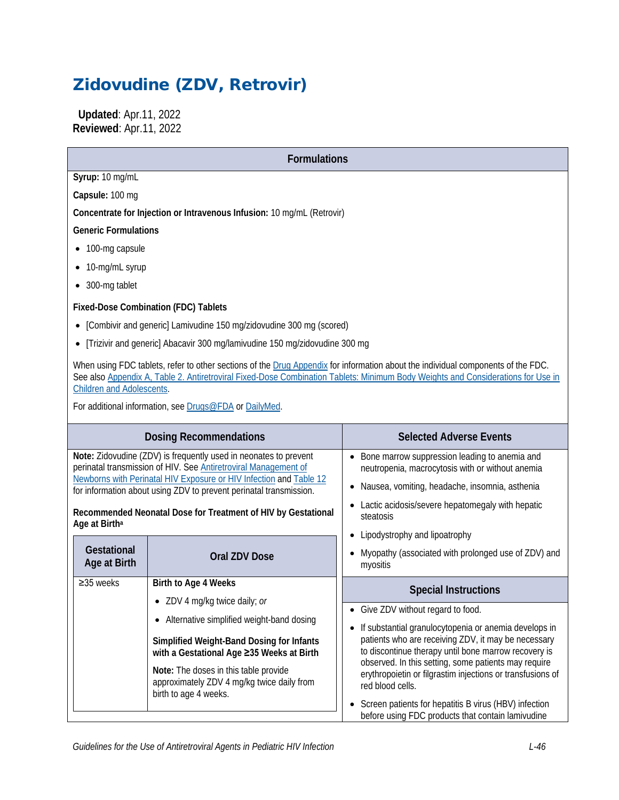# Zidovudine (ZDV, Retrovir)

 **Updated**: Apr.11, 2022 **Reviewed**: Apr.11, 2022

| <b>Formulations</b>                                                                                                                                                                                                                                                                                     |                                                                                                   |  |  |
|---------------------------------------------------------------------------------------------------------------------------------------------------------------------------------------------------------------------------------------------------------------------------------------------------------|---------------------------------------------------------------------------------------------------|--|--|
| Syrup: 10 mg/mL                                                                                                                                                                                                                                                                                         |                                                                                                   |  |  |
| Capsule: 100 mg                                                                                                                                                                                                                                                                                         |                                                                                                   |  |  |
| Concentrate for Injection or Intravenous Infusion: 10 mg/mL (Retrovir)                                                                                                                                                                                                                                  |                                                                                                   |  |  |
| <b>Generic Formulations</b>                                                                                                                                                                                                                                                                             |                                                                                                   |  |  |
| • 100-mg capsule                                                                                                                                                                                                                                                                                        |                                                                                                   |  |  |
| • 10-mg/mL syrup                                                                                                                                                                                                                                                                                        |                                                                                                   |  |  |
| • 300-mg tablet                                                                                                                                                                                                                                                                                         |                                                                                                   |  |  |
| <b>Fixed-Dose Combination (FDC) Tablets</b>                                                                                                                                                                                                                                                             |                                                                                                   |  |  |
| [Combivir and generic] Lamivudine 150 mg/zidovudine 300 mg (scored)                                                                                                                                                                                                                                     |                                                                                                   |  |  |
| [Trizivir and generic] Abacavir 300 mg/lamivudine 150 mg/zidovudine 300 mg                                                                                                                                                                                                                              |                                                                                                   |  |  |
| When using FDC tablets, refer to other sections of the Drug Appendix for information about the individual components of the FDC.<br>See also Appendix A, Table 2. Antiretroviral Fixed-Dose Combination Tablets: Minimum Body Weights and Considerations for Use in<br><b>Children and Adolescents.</b> |                                                                                                   |  |  |
| For additional information, see Drugs@FDA or DailyMed.                                                                                                                                                                                                                                                  |                                                                                                   |  |  |
| <b>Dosing Recommendations</b>                                                                                                                                                                                                                                                                           | <b>Selected Adverse Events</b>                                                                    |  |  |
| Note: Zidovudine (ZDV) is frequently used in neonates to prevent<br>perinatal transmission of HIV. See Antiretroviral Management of                                                                                                                                                                     | Bone marrow suppression leading to anemia and<br>neutropenia, macrocytosis with or without anemia |  |  |
| Newborns with Perinatal HIV Exposure or HIV Infection and Table 12<br>for information about using ZDV to prevent perinatal transmission.                                                                                                                                                                | Nausea, vomiting, headache, insomnia, asthenia<br>٠                                               |  |  |
| Recommended Neonatal Dose for Treatment of HIV by Gestational<br>Age at Birth <sup>a</sup>                                                                                                                                                                                                              | Lactic acidosis/severe hepatomegaly with hepatic<br>steatosis<br>.                                |  |  |

|                                                                                                                                                                                                                                                                                                                               |                                                                                                                                        | Lipodystrophy and lipoatrophy                                                                                                                                                                                                                          |  |
|-------------------------------------------------------------------------------------------------------------------------------------------------------------------------------------------------------------------------------------------------------------------------------------------------------------------------------|----------------------------------------------------------------------------------------------------------------------------------------|--------------------------------------------------------------------------------------------------------------------------------------------------------------------------------------------------------------------------------------------------------|--|
| <b>Gestational</b><br>Age at Birth                                                                                                                                                                                                                                                                                            | Oral ZDV Dose                                                                                                                          | Myopathy (associated with prolonged use of ZDV) and<br>myositis                                                                                                                                                                                        |  |
| $\geq$ 35 weeks<br>Birth to Age 4 Weeks<br>ZDV 4 mg/kg twice daily; or<br>Alternative simplified weight-band dosing<br>Simplified Weight-Band Dosing for Infants<br>with a Gestational Age ≥35 Weeks at Birth<br>Note: The doses in this table provide<br>approximately ZDV 4 mg/kg twice daily from<br>birth to age 4 weeks. |                                                                                                                                        | <b>Special Instructions</b><br>• Give ZDV without regard to food.<br>If substantial granulocytopenia or anemia develops in<br>$\bullet$<br>patients who are receiving ZDV, it may be necessary<br>to discontinue therapy until bone marrow recovery is |  |
|                                                                                                                                                                                                                                                                                                                               |                                                                                                                                        |                                                                                                                                                                                                                                                        |  |
|                                                                                                                                                                                                                                                                                                                               |                                                                                                                                        |                                                                                                                                                                                                                                                        |  |
|                                                                                                                                                                                                                                                                                                                               | observed. In this setting, some patients may require<br>erythropoietin or filgrastim injections or transfusions of<br>red blood cells. |                                                                                                                                                                                                                                                        |  |
|                                                                                                                                                                                                                                                                                                                               |                                                                                                                                        | Screen patients for hepatitis B virus (HBV) infection<br>$\bullet$<br>before using FDC products that contain lamivudine                                                                                                                                |  |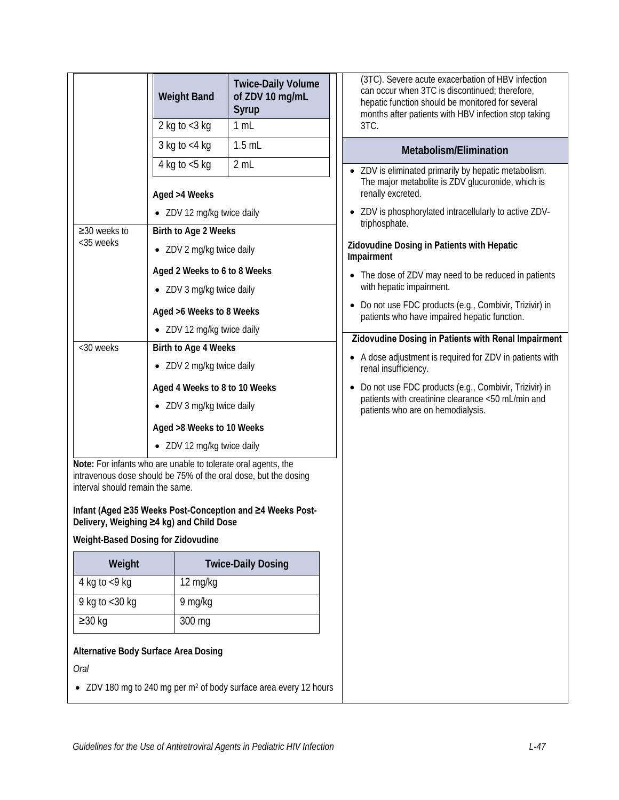|                                                                                                                                                                      | <b>Weight Band</b>            | <b>Twice-Daily Volume</b><br>of ZDV 10 mg/mL<br>Syrup                         | (3TC). Severe acute exacerbation of HBV infection<br>can occur when 3TC is discontinued; therefore,<br>hepatic function should be monitored for several<br>months after patients with HBV infection stop taking                                                     |  |
|----------------------------------------------------------------------------------------------------------------------------------------------------------------------|-------------------------------|-------------------------------------------------------------------------------|---------------------------------------------------------------------------------------------------------------------------------------------------------------------------------------------------------------------------------------------------------------------|--|
|                                                                                                                                                                      | 2 kg to $<$ 3 kg              | 1 mL                                                                          | 3TC.                                                                                                                                                                                                                                                                |  |
|                                                                                                                                                                      | 3 kg to $<$ 4 kg              | $1.5$ mL                                                                      | Metabolism/Elimination                                                                                                                                                                                                                                              |  |
|                                                                                                                                                                      | 4 kg to $<$ 5 kg              | 2 mL                                                                          | ZDV is eliminated primarily by hepatic metabolism.                                                                                                                                                                                                                  |  |
|                                                                                                                                                                      | Aged >4 Weeks                 |                                                                               | The major metabolite is ZDV glucuronide, which is<br>renally excreted.<br>ZDV is phosphorylated intracellularly to active ZDV-<br>triphosphate.<br>Zidovudine Dosing in Patients with Hepatic<br>Impairment<br>• The dose of ZDV may need to be reduced in patients |  |
|                                                                                                                                                                      | • ZDV 12 mg/kg twice daily    |                                                                               |                                                                                                                                                                                                                                                                     |  |
| ≥30 weeks to<br><35 weeks                                                                                                                                            | Birth to Age 2 Weeks          |                                                                               |                                                                                                                                                                                                                                                                     |  |
|                                                                                                                                                                      | • ZDV 2 mg/kg twice daily     |                                                                               |                                                                                                                                                                                                                                                                     |  |
|                                                                                                                                                                      | Aged 2 Weeks to 6 to 8 Weeks  |                                                                               |                                                                                                                                                                                                                                                                     |  |
|                                                                                                                                                                      | • ZDV 3 mg/kg twice daily     |                                                                               | with hepatic impairment.                                                                                                                                                                                                                                            |  |
|                                                                                                                                                                      | Aged >6 Weeks to 8 Weeks      |                                                                               | Do not use FDC products (e.g., Combivir, Trizivir) in<br>patients who have impaired hepatic function.                                                                                                                                                               |  |
|                                                                                                                                                                      | • ZDV 12 mg/kg twice daily    |                                                                               | Zidovudine Dosing in Patients with Renal Impairment                                                                                                                                                                                                                 |  |
| <30 weeks                                                                                                                                                            | Birth to Age 4 Weeks          |                                                                               | • A dose adjustment is required for ZDV in patients with                                                                                                                                                                                                            |  |
|                                                                                                                                                                      | • ZDV 2 mg/kg twice daily     |                                                                               | renal insufficiency.                                                                                                                                                                                                                                                |  |
|                                                                                                                                                                      | Aged 4 Weeks to 8 to 10 Weeks |                                                                               | Do not use FDC products (e.g., Combivir, Trizivir) in<br>$\bullet$<br>patients with creatinine clearance <50 mL/min and                                                                                                                                             |  |
|                                                                                                                                                                      | • ZDV 3 mg/kg twice daily     |                                                                               | patients who are on hemodialysis.                                                                                                                                                                                                                                   |  |
|                                                                                                                                                                      | Aged >8 Weeks to 10 Weeks     |                                                                               |                                                                                                                                                                                                                                                                     |  |
|                                                                                                                                                                      | • ZDV 12 mg/kg twice daily    |                                                                               |                                                                                                                                                                                                                                                                     |  |
| Note: For infants who are unable to tolerate oral agents, the<br>intravenous dose should be 75% of the oral dose, but the dosing<br>interval should remain the same. |                               |                                                                               |                                                                                                                                                                                                                                                                     |  |
| Infant (Aged ≥35 Weeks Post-Conception and ≥4 Weeks Post-<br>Delivery, Weighing ≥4 kg) and Child Dose                                                                |                               |                                                                               |                                                                                                                                                                                                                                                                     |  |
| Weight-Based Dosing for Zidovudine                                                                                                                                   |                               |                                                                               |                                                                                                                                                                                                                                                                     |  |
| Weight                                                                                                                                                               |                               | <b>Twice-Daily Dosing</b>                                                     |                                                                                                                                                                                                                                                                     |  |
| 4 kg to $\lt 9$ kg<br>12 mg/kg                                                                                                                                       |                               |                                                                               |                                                                                                                                                                                                                                                                     |  |
| 9 kg to <30 kg<br>9 mg/kg                                                                                                                                            |                               |                                                                               |                                                                                                                                                                                                                                                                     |  |
| $\geq$ 30 kg<br>300 mg                                                                                                                                               |                               |                                                                               |                                                                                                                                                                                                                                                                     |  |
| Alternative Body Surface Area Dosing                                                                                                                                 |                               |                                                                               |                                                                                                                                                                                                                                                                     |  |
| Oral                                                                                                                                                                 |                               |                                                                               |                                                                                                                                                                                                                                                                     |  |
|                                                                                                                                                                      |                               | • ZDV 180 mg to 240 mg per m <sup>2</sup> of body surface area every 12 hours |                                                                                                                                                                                                                                                                     |  |
|                                                                                                                                                                      |                               |                                                                               |                                                                                                                                                                                                                                                                     |  |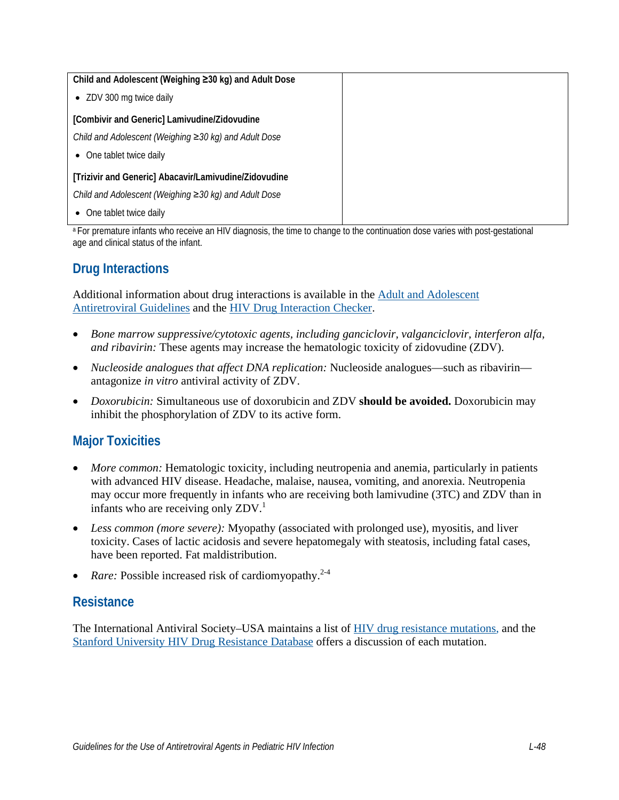| Child and Adolescent (Weighing ≥30 kg) and Adult Dose |  |
|-------------------------------------------------------|--|
| ZDV 300 mg twice daily<br>$\bullet$                   |  |
| [Combivir and Generic] Lamivudine/Zidovudine          |  |
| Child and Adolescent (Weighing ≥30 kg) and Adult Dose |  |
| • One tablet twice daily                              |  |
| [Trizivir and Generic] Abacavir/Lamivudine/Zidovudine |  |
| Child and Adolescent (Weighing ≥30 kg) and Adult Dose |  |
| One tablet twice daily<br>$\bullet$                   |  |

<sup>a</sup> For premature infants who receive an HIV diagnosis, the time to change to the continuation dose varies with post-gestational age and clinical status of the infant.

# **Drug Interactions**

Additional information about drug interactions is available in the [Adult and Adolescent](https://clinicalinfo.hiv.gov/en/guidelines/adult-and-adolescent-arv/whats-new-guidelines)  [Antiretroviral Guidelines](https://clinicalinfo.hiv.gov/en/guidelines/adult-and-adolescent-arv/whats-new-guidelines) and the [HIV Drug Interaction Checker.](http://www.hiv-druginteractions.org/)

- *Bone marrow suppressive/cytotoxic agents, including ganciclovir, valganciclovir, interferon alfa, and ribavirin:* These agents may increase the hematologic toxicity of zidovudine (ZDV).
- *Nucleoside analogues that affect DNA replication:* Nucleoside analogues—such as ribavirin antagonize *in vitro* antiviral activity of ZDV.
- *Doxorubicin:* Simultaneous use of doxorubicin and ZDV **should be avoided.** Doxorubicin may inhibit the phosphorylation of ZDV to its active form.

## **Major Toxicities**

- *More common:* Hematologic toxicity, including neutropenia and anemia, particularly in patients with advanced HIV disease. Headache, malaise, nausea, vomiting, and anorexia. Neutropenia may occur more frequently in infants who are receiving both lamivudine (3TC) and ZDV than in infants who are receiving only ZDV. [1](#page-7-0)
- *Less common (more severe):* Myopathy (associated with prolonged use), myositis, and liver toxicity. Cases of lactic acidosis and severe hepatomegaly with steatosis, including fatal cases, have been reported. Fat maldistribution.
- *Rare:* Possible increased risk of cardiomyopathy.<sup>[2-4](#page-7-1)</sup>

#### **Resistance**

The International Antiviral Society–USA maintains a list of [HIV drug resistance mutations,](https://www.iasusa.org/resources/hiv-drug-resistance-mutations/) and the [Stanford University HIV Drug Resistance Database](https://hivdb.stanford.edu/) offers a discussion of each mutation.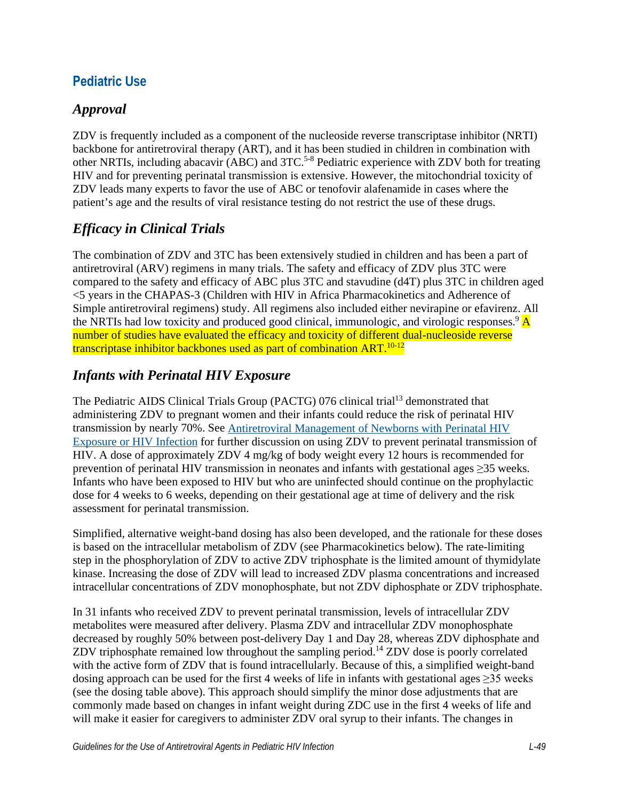#### **Pediatric Use**

#### *Approval*

ZDV is frequently included as a component of the nucleoside reverse transcriptase inhibitor (NRTI) backbone for antiretroviral therapy (ART), and it has been studied in children in combination with other NRTIs, including abacavir (ABC) and 3TC.<sup>5-8</sup> Pediatric experience with ZDV both for treating HIV and for preventing perinatal transmission is extensive. However, the mitochondrial toxicity of ZDV leads many experts to favor the use of ABC or tenofovir alafenamide in cases where the patient's age and the results of viral resistance testing do not restrict the use of these drugs.

## *Efficacy in Clinical Trials*

The combination of ZDV and 3TC has been extensively studied in children and has been a part of antiretroviral (ARV) regimens in many trials. The safety and efficacy of ZDV plus 3TC were compared to the safety and efficacy of ABC plus 3TC and stavudine (d4T) plus 3TC in children aged <5 years in the CHAPAS-3 (Children with HIV in Africa Pharmacokinetics and Adherence of Simple antiretroviral regimens) study. All regimens also included either nevirapine or efavirenz. All the NRTIs had low toxicity and produced good clinical, immunologic, and virologic responses.  $\mathbf{A}$ number of studies have evaluated the efficacy and toxicity of different dual-nucleoside reverse transcriptase inhibitor backbones used as part of combination  $ART$ .<sup>[10-12](#page-7-4)</sup>

#### *Infants with Perinatal HIV Exposure*

The Pediatric AIDS Clinical Trials Group (PACTG) 076 clinical trial<sup>13</sup> demonstrated that administering ZDV to pregnant women and their infants could reduce the risk of perinatal HIV transmission by nearly 70%. See [Antiretroviral Management of Newborns with Perinatal HIV](https://clinicalinfo.hiv.gov/en/guidelines/pediatric-arv/antiretroviral-management-newborns-perinatal-hiv-exposure-or-hiv-infection)  [Exposure or HIV Infection](https://clinicalinfo.hiv.gov/en/guidelines/pediatric-arv/antiretroviral-management-newborns-perinatal-hiv-exposure-or-hiv-infection) for further discussion on using ZDV to prevent perinatal transmission of HIV. A dose of approximately ZDV 4 mg/kg of body weight every 12 hours is recommended for prevention of perinatal HIV transmission in neonates and infants with gestational ages ≥35 weeks. Infants who have been exposed to HIV but who are uninfected should continue on the prophylactic dose for 4 weeks to 6 weeks, depending on their gestational age at time of delivery and the risk assessment for perinatal transmission.

Simplified, alternative weight-band dosing has also been developed, and the rationale for these doses is based on the intracellular metabolism of ZDV (see Pharmacokinetics below). The rate-limiting step in the phosphorylation of ZDV to active ZDV triphosphate is the limited amount of thymidylate kinase. Increasing the dose of ZDV will lead to increased ZDV plasma concentrations and increased intracellular concentrations of ZDV monophosphate, but not ZDV diphosphate or ZDV triphosphate.

In 31 infants who received ZDV to prevent perinatal transmission, levels of intracellular ZDV metabolites were measured after delivery. Plasma ZDV and intracellular ZDV monophosphate decreased by roughly 50% between post-delivery Day 1 and Day 28, whereas ZDV diphosphate and ZDV triphosphate remained low throughout the sampling period.<sup>14</sup> ZDV dose is poorly correlated with the active form of ZDV that is found intracellularly. Because of this, a simplified weight-band dosing approach can be used for the first 4 weeks of life in infants with gestational ages  $\geq$ 35 weeks (see the dosing table above). This approach should simplify the minor dose adjustments that are commonly made based on changes in infant weight during ZDC use in the first 4 weeks of life and will make it easier for caregivers to administer ZDV oral syrup to their infants. The changes in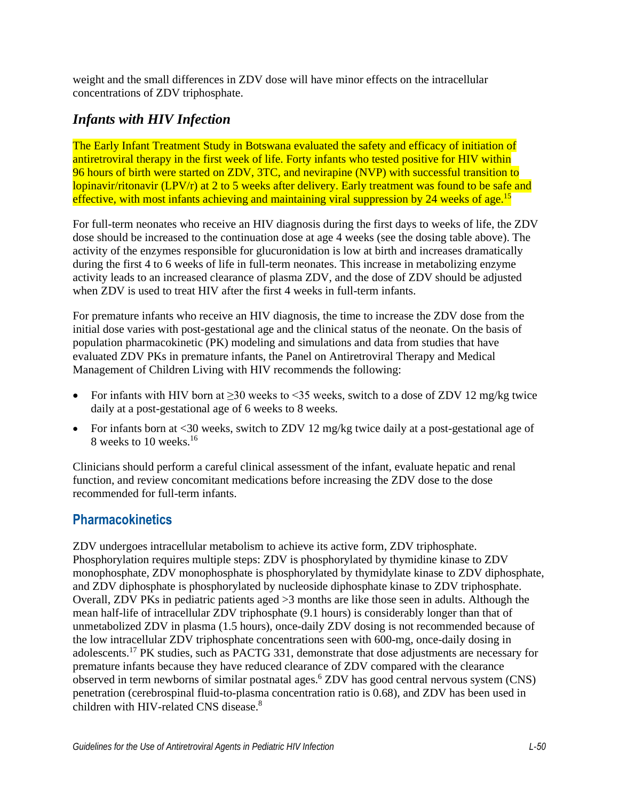weight and the small differences in ZDV dose will have minor effects on the intracellular concentrations of ZDV triphosphate.

#### *Infants with HIV Infection*

The Early Infant Treatment Study in Botswana evaluated the safety and efficacy of initiation of antiretroviral therapy in the first week of life. Forty infants who tested positive for HIV within 96 hours of birth were started on ZDV, 3TC, and nevirapine (NVP) with successful transition to lopinavir/ritonavir (LPV/r) at 2 to 5 weeks after delivery. Early treatment was found to be safe and effective, with most infants achieving and maintaining viral suppression by 24 weeks of age.<sup>15</sup>

For full-term neonates who receive an HIV diagnosis during the first days to weeks of life, the ZDV dose should be increased to the continuation dose at age 4 weeks (see the dosing table above). The activity of the enzymes responsible for glucuronidation is low at birth and increases dramatically during the first 4 to 6 weeks of life in full-term neonates. This increase in metabolizing enzyme activity leads to an increased clearance of plasma ZDV, and the dose of ZDV should be adjusted when ZDV is used to treat HIV after the first 4 weeks in full-term infants.

For premature infants who receive an HIV diagnosis, the time to increase the ZDV dose from the initial dose varies with post-gestational age and the clinical status of the neonate. On the basis of population pharmacokinetic (PK) modeling and simulations and data from studies that have evaluated ZDV PKs in premature infants, the Panel on Antiretroviral Therapy and Medical Management of Children Living with HIV recommends the following:

- For infants with HIV born at  $\geq$ 30 weeks to <35 weeks, switch to a dose of ZDV 12 mg/kg twice daily at a post-gestational age of 6 weeks to 8 weeks.
- For infants born at <30 weeks, switch to ZDV 12 mg/kg twice daily at a post-gestational age of 8 weeks to 10 weeks.<sup>16</sup>

Clinicians should perform a careful clinical assessment of the infant, evaluate hepatic and renal function, and review concomitant medications before increasing the ZDV dose to the dose recommended for full-term infants.

#### **Pharmacokinetics**

ZDV undergoes intracellular metabolism to achieve its active form, ZDV triphosphate. Phosphorylation requires multiple steps: ZDV is phosphorylated by thymidine kinase to ZDV monophosphate, ZDV monophosphate is phosphorylated by thymidylate kinase to ZDV diphosphate, and ZDV diphosphate is phosphorylated by nucleoside diphosphate kinase to ZDV triphosphate. Overall, ZDV PKs in pediatric patients aged >3 months are like those seen in adults. Although the mean half-life of intracellular ZDV triphosphate (9.1 hours) is considerably longer than that of unmetabolized ZDV in plasma (1.5 hours), once-daily ZDV dosing is not recommended because of the low intracellular ZDV triphosphate concentrations seen with 600-mg, once-daily dosing in adolescents.<sup>[17](#page-8-4)</sup> PK studies, such as PACTG 331, demonstrate that dose adjustments are necessary for premature infants because they have reduced clearance of ZDV compared with the clearance observed in term newborns of similar postnatal ages.<sup>6</sup> ZDV has good central nervous system (CNS) penetration (cerebrospinal fluid-to-plasma concentration ratio is 0.68), and ZDV has been used in children with HIV-related CNS disease[.](#page-7-6)<sup>8</sup>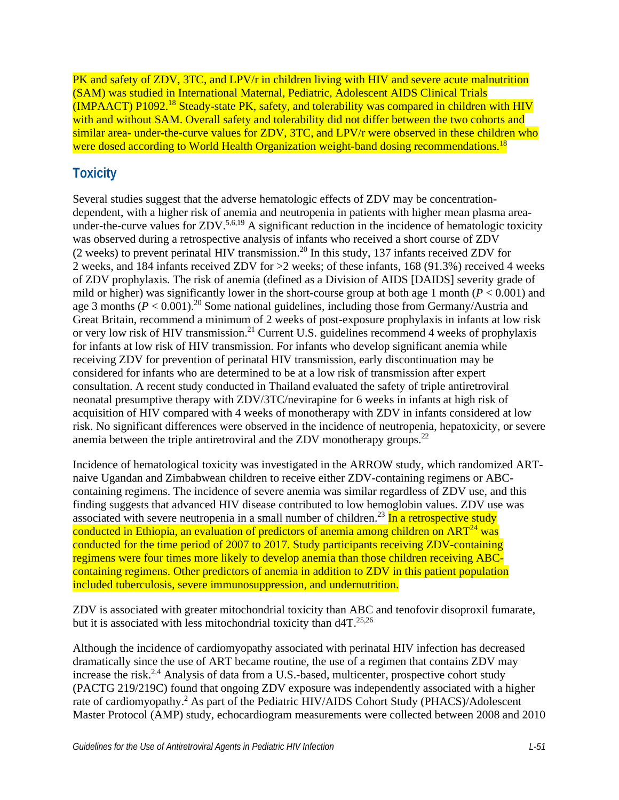PK and safety of ZDV, 3TC, and LPV/r in children living with HIV and severe acute malnutrition (SAM) was studied in International Maternal, Pediatric, Adolescent AIDS Clinical Trials  $(MPAACT)$  P1092.<sup>[18](#page-8-5)</sup> Steady-state PK, safety, and tolerability was compared in children with HIV with and without SAM. Overall safety and tolerability did not differ between the two cohorts and similar area- under-the-curve values for ZDV, 3TC, and LPV/r were observed in these children who were dosed according to World Health Organization weight-band dosing recommendations.<sup>[18](#page-8-5)</sup>

## **Toxicity**

Several studies suggest that the adverse hematologic effects of ZDV may be concentrationdependent, with a higher risk of anemia and neutropenia in patients with higher mean plasma area-under-the-curve values for ZDV.<sup>[5](#page-7-2)[,6,](#page-7-5)[19](#page-8-6)</sup> A significant reduction in the incidence of hematologic toxicity was observed during a retrospective analysis of infants who received a short course of ZDV  $(2 \text{ weeks})$  to prevent perinatal HIV transmission.<sup>20</sup> In this study, 137 infants received ZDV for 2 weeks, and 184 infants received ZDV for >2 weeks; of these infants, 168 (91.3%) received 4 weeks of ZDV prophylaxis. The risk of anemia (defined as a Division of AIDS [DAIDS] severity grade of mild or higher) was significantly lower in the short-course group at both age 1 month  $(P < 0.001)$  and age 3 months  $(P < 0.001)$ .<sup>20</sup> Some national guidelines, including those from Germany/Austria and Great Britain, recommend a minimum of 2 weeks of post-exposure prophylaxis in infants at low risk or very low risk of HIV transmission.<sup>21</sup> Current U.S. guidelines recommend 4 weeks of prophylaxis for infants at low risk of HIV transmission. For infants who develop significant anemia while receiving ZDV for prevention of perinatal HIV transmission, early discontinuation may be considered for infants who are determined to be at a low risk of transmission after expert consultation. A recent study conducted in Thailand evaluated the safety of triple antiretroviral neonatal presumptive therapy with ZDV/3TC/nevirapine for 6 weeks in infants at high risk of acquisition of HIV compared with 4 weeks of monotherapy with ZDV in infants considered at low risk. No significant differences were observed in the incidence of neutropenia, hepatoxicity, or severe anemia between the triple antiretroviral and the ZDV monotherapy groups.<sup>22</sup>

Incidence of hematological toxicity was investigated in the ARROW study, which randomized ARTnaive Ugandan and Zimbabwean children to receive either ZDV-containing regimens or ABCcontaining regimens. The incidence of severe anemia was similar regardless of ZDV use, and this finding suggests that advanced HIV disease contributed to low hemoglobin values. ZDV use was associated with severe neutropenia in a small number of children.<sup>23</sup> In a retrospective study conducted in Ethiopia, an evaluation of predictors of anemia among children on  $ART<sup>24</sup>$  $ART<sup>24</sup>$  $ART<sup>24</sup>$  was conducted for the time period of 2007 to 2017. Study participants receiving ZDV-containing regimens were four times more likely to develop anemia than those children receiving ABCcontaining regimens. Other predictors of anemia in addition to ZDV in this patient population included tuberculosis, severe immunosuppression, and undernutrition.

ZDV is associated with greater mitochondrial toxicity than ABC and tenofovir disoproxil fumarate, but it is associated with less mitochondrial toxicity than  $d4T$ <sup>25[,26](#page-9-3)</sup>

Although the incidence of cardiomyopathy associated with perinatal HIV infection has decreased dramatically since the use of ART became routine, the use of a regimen that contains ZDV may increase the risk.<sup>2,[4](#page-7-7)</sup> Analysis of data from a U.S.-based, multicenter, prospective cohort study (PACTG 219/219C) found that ongoing ZDV exposure was independently associated with a higher rate of cardiomyopathy.<sup>2</sup> As part of the Pediatric HIV/AIDS Cohort Study (PHACS)/Adolescent Master Protocol (AMP) study, echocardiogram measurements were collected between 2008 and 2010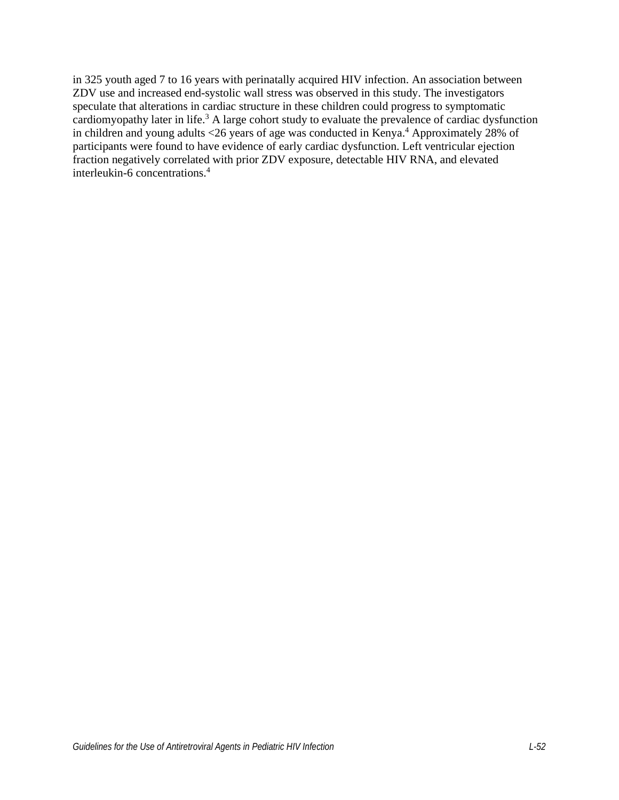in 325 youth aged 7 to 16 years with perinatally acquired HIV infection. An association between ZDV use and increased end-systolic wall stress was observed in this study. The investigators speculate that alterations in cardiac structure in these children could progress to symptomatic cardiomyopathy later in life.<sup>[3](#page-7-8)</sup> A large cohort study to evaluate the prevalence of cardiac dysfunction in children and young adults <26 years of age was conducted in Kenya.<sup>4</sup> Approximately 28% of participants were found to have evidence of early cardiac dysfunction. Left ventricular ejection fraction negatively correlated with prior ZDV exposure, detectable HIV RNA, and elevated interleukin-6 concentrations.[4](#page-7-7)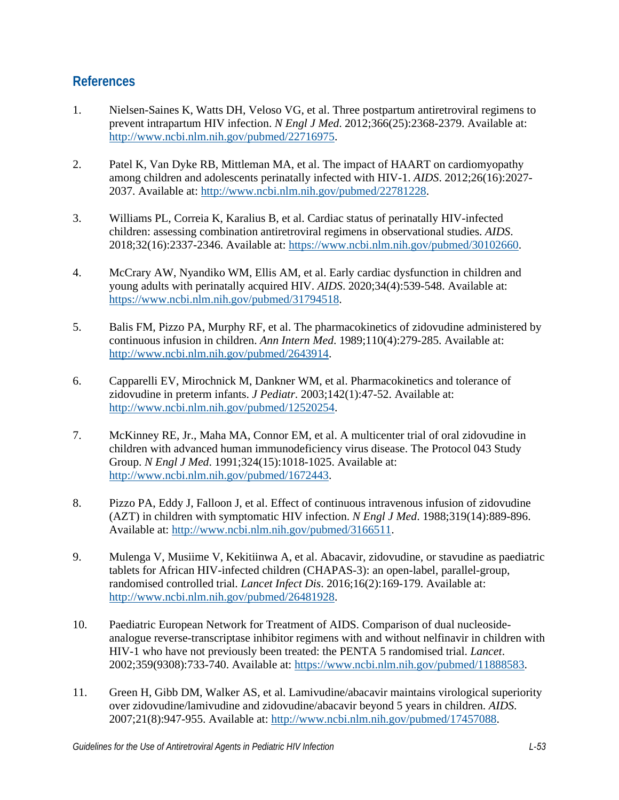#### **References**

- <span id="page-7-0"></span>1. Nielsen-Saines K, Watts DH, Veloso VG, et al. Three postpartum antiretroviral regimens to prevent intrapartum HIV infection. *N Engl J Med*. 2012;366(25):2368-2379. Available at: [http://www.ncbi.nlm.nih.gov/pubmed/22716975.](http://www.ncbi.nlm.nih.gov/pubmed/22716975)
- <span id="page-7-1"></span>2. Patel K, Van Dyke RB, Mittleman MA, et al. The impact of HAART on cardiomyopathy among children and adolescents perinatally infected with HIV-1. *AIDS*. 2012;26(16):2027- 2037. Available at: [http://www.ncbi.nlm.nih.gov/pubmed/22781228.](http://www.ncbi.nlm.nih.gov/pubmed/22781228)
- <span id="page-7-8"></span>3. Williams PL, Correia K, Karalius B, et al. Cardiac status of perinatally HIV-infected children: assessing combination antiretroviral regimens in observational studies. *AIDS*. 2018;32(16):2337-2346. Available at: [https://www.ncbi.nlm.nih.gov/pubmed/30102660.](https://www.ncbi.nlm.nih.gov/pubmed/30102660)
- <span id="page-7-7"></span>4. McCrary AW, Nyandiko WM, Ellis AM, et al. Early cardiac dysfunction in children and young adults with perinatally acquired HIV. *AIDS*. 2020;34(4):539-548. Available at: [https://www.ncbi.nlm.nih.gov/pubmed/31794518.](https://www.ncbi.nlm.nih.gov/pubmed/31794518)
- <span id="page-7-2"></span>5. Balis FM, Pizzo PA, Murphy RF, et al. The pharmacokinetics of zidovudine administered by continuous infusion in children. *Ann Intern Med*. 1989;110(4):279-285. Available at: [http://www.ncbi.nlm.nih.gov/pubmed/2643914.](http://www.ncbi.nlm.nih.gov/pubmed/2643914)
- <span id="page-7-5"></span>6. Capparelli EV, Mirochnick M, Dankner WM, et al. Pharmacokinetics and tolerance of zidovudine in preterm infants. *J Pediatr*. 2003;142(1):47-52. Available at: [http://www.ncbi.nlm.nih.gov/pubmed/12520254.](http://www.ncbi.nlm.nih.gov/pubmed/12520254)
- 7. McKinney RE, Jr., Maha MA, Connor EM, et al. A multicenter trial of oral zidovudine in children with advanced human immunodeficiency virus disease. The Protocol 043 Study Group. *N Engl J Med*. 1991;324(15):1018-1025. Available at: [http://www.ncbi.nlm.nih.gov/pubmed/1672443.](http://www.ncbi.nlm.nih.gov/pubmed/1672443)
- <span id="page-7-6"></span>8. Pizzo PA, Eddy J, Falloon J, et al. Effect of continuous intravenous infusion of zidovudine (AZT) in children with symptomatic HIV infection. *N Engl J Med*. 1988;319(14):889-896. Available at: [http://www.ncbi.nlm.nih.gov/pubmed/3166511.](http://www.ncbi.nlm.nih.gov/pubmed/3166511)
- <span id="page-7-3"></span>9. Mulenga V, Musiime V, Kekitiinwa A, et al. Abacavir, zidovudine, or stavudine as paediatric tablets for African HIV-infected children (CHAPAS-3): an open-label, parallel-group, randomised controlled trial. *Lancet Infect Dis*. 2016;16(2):169-179. Available at: [http://www.ncbi.nlm.nih.gov/pubmed/26481928.](http://www.ncbi.nlm.nih.gov/pubmed/26481928)
- <span id="page-7-4"></span>10. Paediatric European Network for Treatment of AIDS. Comparison of dual nucleosideanalogue reverse-transcriptase inhibitor regimens with and without nelfinavir in children with HIV-1 who have not previously been treated: the PENTA 5 randomised trial. *Lancet*. 2002;359(9308):733-740. Available at: [https://www.ncbi.nlm.nih.gov/pubmed/11888583.](https://www.ncbi.nlm.nih.gov/pubmed/11888583)
- 11. Green H, Gibb DM, Walker AS, et al. Lamivudine/abacavir maintains virological superiority over zidovudine/lamivudine and zidovudine/abacavir beyond 5 years in children. *AIDS*. 2007;21(8):947-955. Available at: [http://www.ncbi.nlm.nih.gov/pubmed/17457088.](http://www.ncbi.nlm.nih.gov/pubmed/17457088)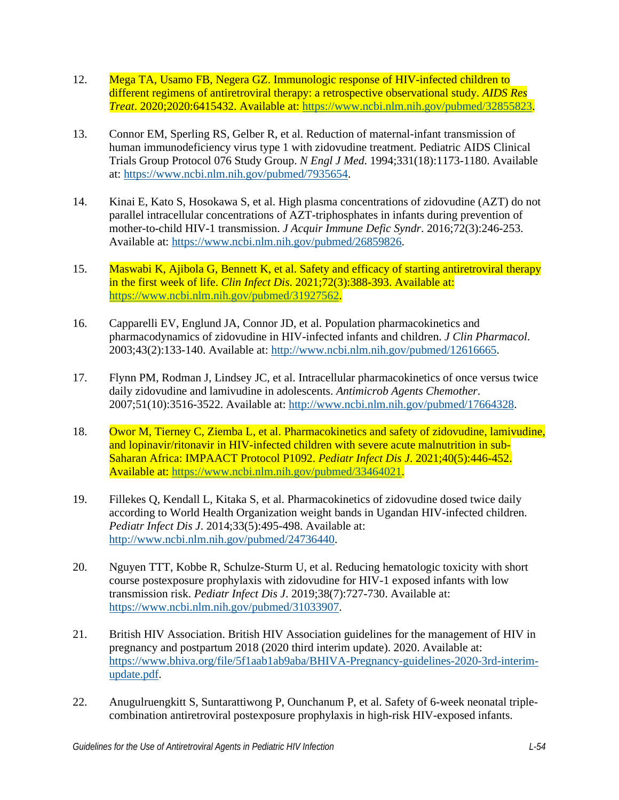- 12. Mega TA, Usamo FB, Negera GZ. Immunologic response of HIV-infected children to different regimens of antiretroviral therapy: a retrospective observational study. *AIDS Res Treat*. 2020;2020:6415432. Available at: [https://www.ncbi.nlm.nih.gov/pubmed/32855823.](https://www.ncbi.nlm.nih.gov/pubmed/32855823)
- <span id="page-8-0"></span>13. Connor EM, Sperling RS, Gelber R, et al. Reduction of maternal-infant transmission of human immunodeficiency virus type 1 with zidovudine treatment. Pediatric AIDS Clinical Trials Group Protocol 076 Study Group. *N Engl J Med*. 1994;331(18):1173-1180. Available at: [https://www.ncbi.nlm.nih.gov/pubmed/7935654.](https://www.ncbi.nlm.nih.gov/pubmed/7935654)
- <span id="page-8-1"></span>14. Kinai E, Kato S, Hosokawa S, et al. High plasma concentrations of zidovudine (AZT) do not parallel intracellular concentrations of AZT-triphosphates in infants during prevention of mother-to-child HIV-1 transmission. *J Acquir Immune Defic Syndr*. 2016;72(3):246-253. Available at: [https://www.ncbi.nlm.nih.gov/pubmed/26859826.](https://www.ncbi.nlm.nih.gov/pubmed/26859826)
- <span id="page-8-2"></span>15. Maswabi K, Ajibola G, Bennett K, et al. Safety and efficacy of starting antiretroviral therapy in the first week of life. *Clin Infect Dis*. 2021;72(3):388-393. Available at: [https://www.ncbi.nlm.nih.gov/pubmed/31927562.](https://www.ncbi.nlm.nih.gov/pubmed/31927562)
- <span id="page-8-3"></span>16. Capparelli EV, Englund JA, Connor JD, et al. Population pharmacokinetics and pharmacodynamics of zidovudine in HIV-infected infants and children. *J Clin Pharmacol*. 2003;43(2):133-140. Available at: [http://www.ncbi.nlm.nih.gov/pubmed/12616665.](http://www.ncbi.nlm.nih.gov/pubmed/12616665)
- <span id="page-8-4"></span>17. Flynn PM, Rodman J, Lindsey JC, et al. Intracellular pharmacokinetics of once versus twice daily zidovudine and lamivudine in adolescents. *Antimicrob Agents Chemother*. 2007;51(10):3516-3522. Available at: [http://www.ncbi.nlm.nih.gov/pubmed/17664328.](http://www.ncbi.nlm.nih.gov/pubmed/17664328)
- <span id="page-8-5"></span>18. Owor M, Tierney C, Ziemba L, et al. Pharmacokinetics and safety of zidovudine, lamivudine, and lopinavir/ritonavir in HIV-infected children with severe acute malnutrition in sub-Saharan Africa: IMPAACT Protocol P1092. *Pediatr Infect Dis J*. 2021;40(5):446-452. Available at: [https://www.ncbi.nlm.nih.gov/pubmed/33464021.](https://www.ncbi.nlm.nih.gov/pubmed/33464021)
- <span id="page-8-6"></span>19. Fillekes Q, Kendall L, Kitaka S, et al. Pharmacokinetics of zidovudine dosed twice daily according to World Health Organization weight bands in Ugandan HIV-infected children. *Pediatr Infect Dis J*. 2014;33(5):495-498. Available at: [http://www.ncbi.nlm.nih.gov/pubmed/24736440.](http://www.ncbi.nlm.nih.gov/pubmed/24736440)
- <span id="page-8-7"></span>20. Nguyen TTT, Kobbe R, Schulze-Sturm U, et al. Reducing hematologic toxicity with short course postexposure prophylaxis with zidovudine for HIV-1 exposed infants with low transmission risk. *Pediatr Infect Dis J*. 2019;38(7):727-730. Available at: [https://www.ncbi.nlm.nih.gov/pubmed/31033907.](https://www.ncbi.nlm.nih.gov/pubmed/31033907)
- <span id="page-8-8"></span>21. British HIV Association. British HIV Association guidelines for the management of HIV in pregnancy and postpartum 2018 (2020 third interim update). 2020. Available at: [https://www.bhiva.org/file/5f1aab1ab9aba/BHIVA-Pregnancy-guidelines-2020-3rd-interim](https://www.bhiva.org/file/5f1aab1ab9aba/BHIVA-Pregnancy-guidelines-2020-3rd-interim-update.pdf)[update.pdf.](https://www.bhiva.org/file/5f1aab1ab9aba/BHIVA-Pregnancy-guidelines-2020-3rd-interim-update.pdf)
- <span id="page-8-9"></span>22. Anugulruengkitt S, Suntarattiwong P, Ounchanum P, et al. Safety of 6-week neonatal triplecombination antiretroviral postexposure prophylaxis in high-risk HIV-exposed infants.